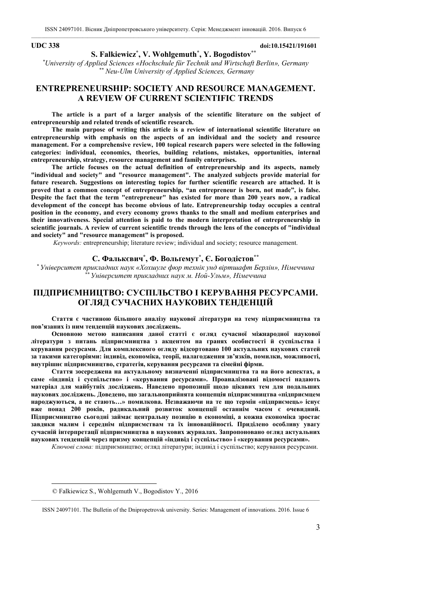**UDC 338 doi:10.15421/191601**

**S. Falkiewicz\* , V. Wohlgemuth\* , Y. Bogodistov\*\* 1** *\* University of Applied Sciences «Hochschule für Technik und Wirtschaft Berlin», Germany \*\* Neu-Ulm University of Applied Sciences, Germany* 

# **ENTREPRENEURSHIP: SOCIETY AND RESOURCE MANAGEMENT. A REVIEW OF CURRENT SCIENTIFIC TRENDS**

**The article is a part of a larger analysis of the scientific literature on the subject of entrepreneurship and related trends of scientific research.** 

**The main purpose of writing this article is a review of international scientific literature on entrepreneurship with emphasis on the aspects of an individual and the society and resource management. For a comprehensive review, 100 topical research papers were selected in the following categories: individual, economics, theories, building relations, mistakes, opportunities, internal entrepreneurship, strategy, resource management and family enterprises.** 

**The article focuses on the actual definition of entrepreneurship and its aspects, namely "individual and society" and "resource management". The analyzed subjects provide material for future research. Suggestions on interesting topics for further scientific research are attached. It is proved that a common concept of entrepreneurship, "an entrepreneur is born, not made", is false. Despite the fact that the term "entrepreneur" has existed for more than 200 years now, a radical development of the concept has become obvious of late. Entrepreneurship today occupies a central position in the economy, and every economy grows thanks to the small and medium enterprises and their innovativeness. Special attention is paid to the modern interpretation of entrepreneurship in scientific journals. A review of current scientific trends through the lens of the concepts of "individual and society" and "resource management" is proposed.**

*Keywords:* entrepreneurship; literature review; individual and society; resource management.

## **С. Фалькєвич\* , Ф. Вольґемут\* , Є. Богодістов\*\***

*\* Університет прикладних наук «Хохшуле фюр технік унд віртшафт Берлін», Німеччина \*\* Університет прикладних наук м. Ной-Ульм», Німеччина*

# **ПІДПРИЄМНИЦТВО: СУСПІЛЬСТВО І КЕРУВАННЯ РЕСУРСАМИ. ОГЛЯД СУЧАСНИХ НАУКОВИХ ТЕНДЕНЦІЙ**

**Стаття є частиною більшого аналізу наукової літератури на тему підприємництва та пов'язаних із ним тенденцій наукових досліджень.** 

**Основною метою написання даної статті є огляд сучасної міжнародної наукової літератури з питань підприємництва з акцентом на гранях особистості й суспільства і керування ресурсами. Для комплексного огляду відсортовано 100 актуальних наукових статей за такими категоріями: індивід, економіка, теорії, налагодження зв'язків, помилки, можливості, внутрішнє підприємництво, стратегія, керування ресурсами та сімейні фірми.** 

**Стаття зосереджена на актуальному визначенні підприємництва та на його аспектах, а саме «індивід і суспільство» і «керування ресурсами». Проаналізовані відомості надають матеріал для майбутніх досліджень. Наведено пропозиції щодо цікавих тем для подальших наукових досліджень. Доведено, що загальноприйнята концепція підприємництва «підприємцем народжуються, а не стають…» помилкова. Незважаючи на те що термін «підприємець» існує вже понад 200 років, радикальний розвиток концепції останнім часом є очевидний. Підприємництво сьогодні займає центральну позицію в економіці, а кожна економіка зростає завдяки малим і середнім підприємствам та їх інноваційності. Приділено особливу увагу сучасній інтерпретації підприємництва в наукових журналах. Запропоновано огляд актуальних наукових тенденцій через призму концепцій «індивід і суспільство» і «керування ресурсами».** 

*Ключові слова:* підприємництво; огляд літератури; індивід і суспільство; керування ресурсами.

 $\overline{a}$ 

 <sup>©</sup> Falkiewicz S., Wohlgemuth V., Bogodistov Y., 2016

 $\_$  , and the state of the state of the state of the state of the state of the state of the state of the state of the state of the state of the state of the state of the state of the state of the state of the state of the ISSN 24097101. The Bulletin of the Dnipropetrovsk university. Series: Management of innovations. 2016. Issue 6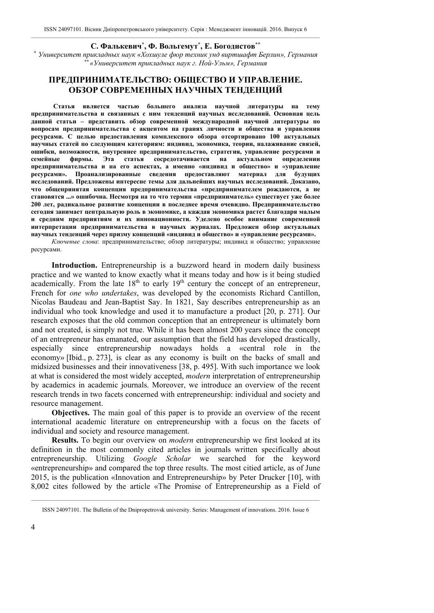## **С. Фалькевич\* , Ф. Вольгемут\* , Е. Богодистов\*\***

*\* Университет прикладных наук «Хохшуле фюр техник унд виртшафт Берлин», Германия \*\* «Университет прикладных наук г. Ной-Ульм», Германия*

# **ПРЕДПРИНИМАТЕЛЬСТВО: ОБЩЕСТВО И УПРАВЛЕНИЕ. ОБЗОР СОВРЕМЕННЫХ НАУЧНЫХ ТЕНДЕНЦИЙ**

 **Статья является частью большего анализа научной литературы на тему предпринимательства и связанных с ним тенденций научных исследований. Основная цель данной статьи – представить обзор современной международной научной литературы по вопросам предпринимательства с акцентом на гранях личности и общества и управления ресурсами. С целью предоставления комплексного обзора отсортировано 100 актуальных научных статей по следующим категориям: индивид, экономика, теории, налаживание связей, ошибки, возможности, внутреннее предпринимательство, стратегия, управление ресурсами и семейные фирмы. Эта статья сосредотачивается на актуальном определении предпринимательства и на его аспектах, а именно «индивид и общество» и «управление ресурсами». Проанализированные сведения предоставляют материал для будущих исследований. Предложены интересне темы для дальнейших научных исследований. Доказано, что общепринятая концепция предпринимательства «предпринимателем рождаются, а не становятся ...» ошибочна. Несмотря на то что термин «предприниматель» существует уже более 200 лет, радикальное развитие концепции в последнее время очевидно. Предпринимательство сегодня занимает центральную роль в экономике, а каждая экономика растет благодаря малым и средним предприятиям и их инновационности. Уделено особое внимание современной интерпретации предпринимательства в научных журналах. Предложен обзор актуальных научных тенденций через призму концепций «индивид и общество» и «управление ресурсами».** 

*Ключевые слова*: предпринимательство; обзор литературы; индивид и общество; управление ресурсами.

**Introduction.** Entrepreneurship is a buzzword heard in modern daily business practice and we wanted to know exactly what it means today and how is it being studied  $\frac{1}{4}$  academically. From the late 18<sup>th</sup> to early 19<sup>th</sup> century the concept of an entrepreneur, French for *one who undertakes*, was developed by the economists Richard Cantillon, Nicolas Baudeau and Jean-Baptist Say. In 1821, Say describes entrepreneurship as an individual who took knowledge and used it to manufacture a product [20, р. 271]. Our research exposes that the old common conception that an entrepreneur is ultimately born and not created, is simply not true. While it has been almost 200 years since the concept of an entrepreneur has emanated, our assumption that the field has developed drastically, especially since entrepreneurship nowadays holds a «central role in the economy» [Ibid., р. 273], is clear as any economy is built on the backs of small and midsized businesses and their innovativeness [38, р. 495]. With such importance we look at what is considered the most widely accepted, *modern* interpretation of entrepreneurship by academics in academic journals. Moreover, we introduce an overview of the recent research trends in two facets concerned with entrepreneurship: individual and society and resource management.

**Objectives.** The main goal of this paper is to provide an overview of the recent international academic literature on entrepreneurship with a focus on the facets of individual and society and resource management.

**Results.** To begin our overview on *modern* entrepreneurship we first looked at its definition in the most commonly cited articles in journals written specifically about entrepreneurship. Utilizing *Google Scholar* we searched for the keyword «entrepreneurship» and compared the top three results. The most citied article, as of June 2015, is the publication «Innovation and Entrepreneurship» by Peter Drucker [10], with 8,002 cites followed by the article «The Promise of Entrepreneurship as a Field of

 $\_$  , and the state of the state of the state of the state of the state of the state of the state of the state of the state of the state of the state of the state of the state of the state of the state of the state of the ISSN 24097101. The Bulletin of the Dnipropetrovsk university. Series: Management of innovations. 2016. Issue 6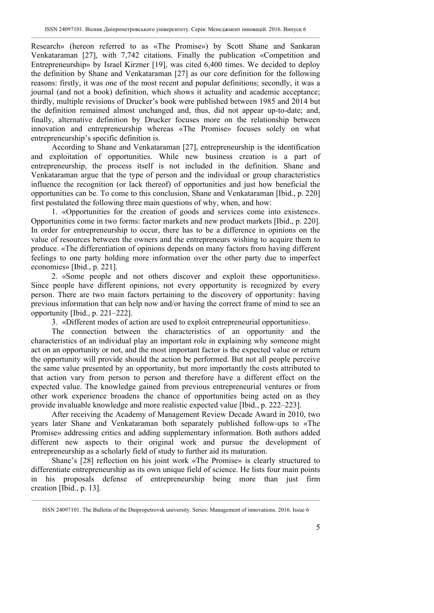Research» (hereon referred to as «The Promise») by Scott Shane and Sankaran Venkataraman [27], with 7,742 citations. Finally the publication «Competition and Entrepreneurship» by Israel Kirzner [19], was cited 6,400 times. We decided to deploy the definition by Shane and Venkataraman [27] as our core definition for the following reasons: firstly, it was one of the most recent and popular definitions; secondly, it was a journal (and not a book) definition, which shows it actuality and academic acceptance; thirdly, multiple revisions of Drucker's book were published between 1985 and 2014 but the definition remained almost unchanged and, thus, did not appear up-to-date; and, finally, alternative definition by Drucker focuses more on the relationship between innovation and entrepreneurship whereas «The Promise» focuses solely on what entrepreneurship's specific definition is.

According to Shane and Venkataraman [27], entrepreneurship is the identification and exploitation of opportunities. While new business creation is a part of entrepreneurship, the process itself is not included in the definition. Shane and Venkataraman argue that the type of person and the individual or group characteristics influence the recognition (or lack thereof) of opportunities and just how beneficial the opportunities can be. To come to this conclusion, Shane and Venkataraman [Ibid., р. 220] first postulated the following three main questions of why, when, and how:

1. «Opportunities for the creation of goods and services come into existence». Opportunities come in two forms: factor markets and new product markets [Ibid., р. 220]. In order for entrepreneurship to occur, there has to be a difference in opinions on the value of resources between the owners and the entrepreneurs wishing to acquire them to produce. «The differentiation of opinions depends on many factors from having different feelings to one party holding more information over the other party due to imperfect economies» [Ibid., р. 221].

2. «Some people and not others discover and exploit these opportunities». Since people have different opinions, not every opportunity is recognized by every person. There are two main factors pertaining to the discovery of opportunity: having previous information that can help now and/or having the correct frame of mind to see an opportunity [Ibid., р. 221–222].

3. «Different modes of action are used to exploit entrepreneurial opportunities».

The connection between the characteristics of an opportunity and the characteristics of an individual play an important role in explaining why someone might act on an opportunity or not, and the most important factor is the expected value or return the opportunity will provide should the action be performed. But not all people perceive the same value presented by an opportunity, but more importantly the costs attributed to that action vary from person to person and therefore have a different effect on the expected value. The knowledge gained from previous entrepreneurial ventures or from other work experience broadens the chance of opportunities being acted on as they provide invaluable knowledge and more realistic expected value [Ibid., р. 222–223].

After receiving the Academy of Management Review Decade Award in 2010, two years later Shane and Venkataraman both separately published follow-ups to «The Promise» addressing critics and adding supplementary information. Both authors added different new aspects to their original work and pursue the development of entrepreneurship as a scholarly field of study to further aid its maturation.

Shane's [28] reflection on his joint work «The Promise» is clearly structured to differentiate entrepreneurship as its own unique field of science. He lists four main points in his proposals defense of entrepreneurship being more than just firm creation [Ibid., р. 13].

 $\_$  , and the state of the state of the state of the state of the state of the state of the state of the state of the state of the state of the state of the state of the state of the state of the state of the state of the ISSN 24097101. The Bulletin of the Dnipropetrovsk university. Series: Management of innovations. 2016. Issue 6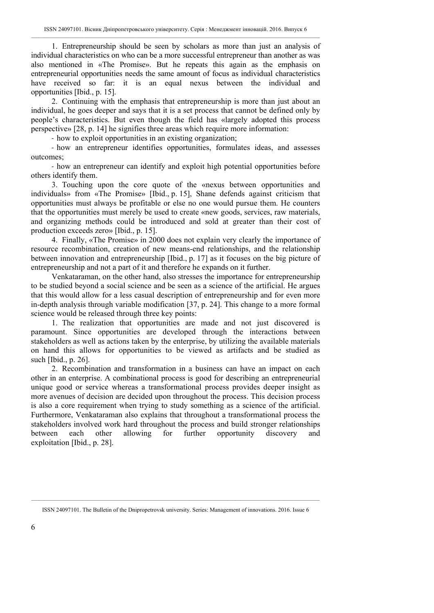1. Entrepreneurship should be seen by scholars as more than just an analysis of individual characteristics on who can be a more successful entrepreneur than another as was also mentioned in «The Promise». But he repeats this again as the emphasis on entrepreneurial opportunities needs the same amount of focus as individual characteristics have received so far: it is an equal nexus between the individual and opportunities [Ibid., р. 15].

2. Continuing with the emphasis that entrepreneurship is more than just about an individual, he goes deeper and says that it is a set process that cannot be defined only by people's characteristics. But even though the field has «largely adopted this process perspective» [28, р. 14] he signifies three areas which require more information:

‐ how to exploit opportunities in an existing organization;

‐ how an entrepreneur identifies opportunities, formulates ideas, and assesses outcomes;

‐ how an entrepreneur can identify and exploit high potential opportunities before others identify them.

3. Touching upon the core quote of the «nexus between opportunities and individuals» from «The Promise» [Ibid., р. 15], Shane defends against criticism that opportunities must always be profitable or else no one would pursue them. He counters that the opportunities must merely be used to create «new goods, services, raw materials, and organizing methods could be introduced and sold at greater than their cost of production exceeds zero» [Ibid., р. 15].

4. Finally, «The Promise» in 2000 does not explain very clearly the importance of resource recombination, creation of new means-end relationships, and the relationship between innovation and entrepreneurship [Ibid., p. 17] as it focuses on the big picture of entrepreneurship and not a part of it and therefore he expands on it further.

Venkataraman, on the other hand, also stresses the importance for entrepreneurship to be studied beyond a social science and be seen as a science of the artificial. He argues that this would allow for a less casual description of entrepreneurship and for even more in-depth analysis through variable modification [37, р. 24]. This change to a more formal science would be released through three key points:

1. The realization that opportunities are made and not just discovered is paramount. Since opportunities are developed through the interactions between stakeholders as well as actions taken by the enterprise, by utilizing the available materials on hand this allows for opportunities to be viewed as artifacts and be studied as such [Ibid., p. 26].

2. Recombination and transformation in a business can have an impact on each other in an enterprise. A combinational process is good for describing an entrepreneurial unique good or service whereas a transformational process provides deeper insight as more avenues of decision are decided upon throughout the process. This decision process is also a core requirement when trying to study something as a science of the artificial. Furthermore, Venkataraman also explains that throughout a transformational process the stakeholders involved work hard throughout the process and build stronger relationships between each other allowing for further opportunity discovery and exploitation [Ibid., р. 28].

 $\_$  , and the state of the state of the state of the state of the state of the state of the state of the state of the state of the state of the state of the state of the state of the state of the state of the state of the ISSN 24097101. The Bulletin of the Dnipropetrovsk university. Series: Management of innovations. 2016. Issue 6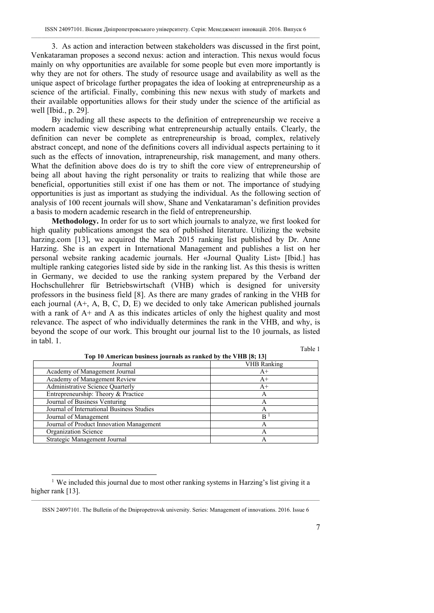3. As action and interaction between stakeholders was discussed in the first point, Venkataraman proposes a second nexus: action and interaction. This nexus would focus mainly on why opportunities are available for some people but even more importantly is why they are not for others. The study of resource usage and availability as well as the unique aspect of bricolage further propagates the idea of looking at entrepreneurship as a science of the artificial. Finally, combining this new nexus with study of markets and their available opportunities allows for their study under the science of the artificial as well [Ibid., p. 29].

By including all these aspects to the definition of entrepreneurship we receive a modern academic view describing what entrepreneurship actually entails. Clearly, the definition can never be complete as entrepreneurship is broad, complex, relatively abstract concept, and none of the definitions covers all individual aspects pertaining to it such as the effects of innovation, intrapreneurship, risk management, and many others. What the definition above does do is try to shift the core view of entrepreneurship of being all about having the right personality or traits to realizing that while those are beneficial, opportunities still exist if one has them or not. The importance of studying opportunities is just as important as studying the individual. As the following section of analysis of 100 recent journals will show, Shane and Venkataraman's definition provides a basis to modern academic research in the field of entrepreneurship.

**Methodology.** In order for us to sort which journals to analyze, we first looked for high quality publications amongst the sea of published literature. Utilizing the website harzing.com [13], we acquired the March  $2015$  ranking list published by Dr. Anne Harzing. She is an expert in International Management and publishes a list on her personal website ranking academic journals. Her «Journal Quality List» [Ibid.] has multiple ranking categories listed side by side in the ranking list. As this thesis is written in Germany, we decided to use the ranking system prepared by the Verband der Hochschullehrer für Betriebswirtschaft (VHB) which is designed for university professors in the business field [8]. As there are many grades of ranking in the VHB for each journal (A+, A, B, C, D, E) we decided to only take American published journals with a rank of A+ and A as this indicates articles of only the highest quality and most relevance. The aspect of who individually determines the rank in the VHB, and why, is beyond the scope of our work. This brought our journal list to the 10 journals, as listed in tabl. 1.

Table 1

| Top To American business journals as rained by the valid $[0, 10]$ |                    |  |
|--------------------------------------------------------------------|--------------------|--|
| Journal                                                            | <b>VHB</b> Ranking |  |
| Academy of Management Journal                                      | A+                 |  |
| Academy of Management Review                                       | A+                 |  |
| Administrative Science Quarterly                                   | $A^+$              |  |
| Entrepreneurship: Theory & Practice                                | А                  |  |
| Journal of Business Venturing                                      | Α                  |  |
| Journal of International Business Studies                          | A                  |  |
| Journal of Management                                              | B                  |  |
| Journal of Product Innovation Management                           | А                  |  |
| Organization Science                                               | А                  |  |
| Strategic Management Journal                                       | Α                  |  |

**Top 10 American business journals as ranked by the VHB [8; 13]** 

 $\overline{a}$ <sup>1</sup> We included this journal due to most other ranking systems in Harzing's list giving it a higher rank [13].

 $\_$  , and the state of the state of the state of the state of the state of the state of the state of the state of the state of the state of the state of the state of the state of the state of the state of the state of the ISSN 24097101. The Bulletin of the Dnipropetrovsk university. Series: Management of innovations. 2016. Issue 6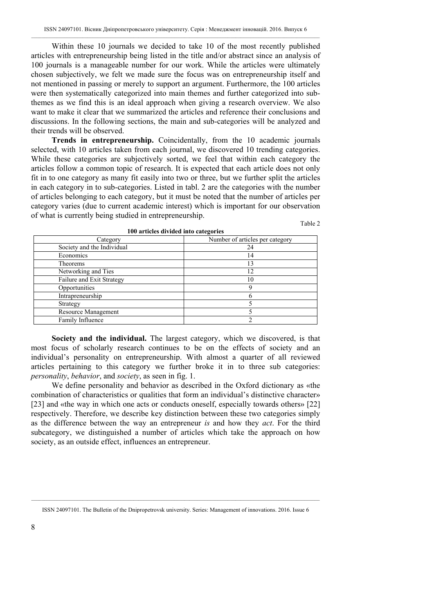Within these 10 journals we decided to take 10 of the most recently published articles with entrepreneurship being listed in the title and/or abstract since an analysis of 100 journals is a manageable number for our work. While the articles were ultimately chosen subjectively, we felt we made sure the focus was on entrepreneurship itself and not mentioned in passing or merely to support an argument. Furthermore, the 100 articles were then systematically categorized into main themes and further categorized into subthemes as we find this is an ideal approach when giving a research overview. We also want to make it clear that we summarized the articles and reference their conclusions and discussions. In the following sections, the main and sub-categories will be analyzed and their trends will be observed.

**Trends in entrepreneurship.** Coincidentally, from the 10 academic journals selected, with 10 articles taken from each journal, we discovered 10 trending categories. While these categories are subjectively sorted, we feel that within each category the articles follow a common topic of research. It is expected that each article does not only fit in to one category as many fit easily into two or three, but we further split the articles in each category in to sub-categories. Listed in tabl. 2 are the categories with the number of articles belonging to each category, but it must be noted that the number of articles per category varies (due to current academic interest) which is important for our observation of what is currently being studied in entrepreneurship.

Table 2

| 100 al tienes urviueu mito categories |                                 |  |  |
|---------------------------------------|---------------------------------|--|--|
| Category                              | Number of articles per category |  |  |
| Society and the Individual            | 24                              |  |  |
| Economics                             | ι4                              |  |  |
| <b>Theorems</b>                       | 13                              |  |  |
| Networking and Ties                   | 12                              |  |  |
| Failure and Exit Strategy             | 10                              |  |  |
| Opportunities                         |                                 |  |  |
| Intrapreneurship                      |                                 |  |  |
| Strategy                              |                                 |  |  |
| Resource Management                   |                                 |  |  |
| Family Influence                      |                                 |  |  |

**100 articles divided into categories** 

**Society and the individual.** The largest category, which we discovered, is that most focus of scholarly research continues to be on the effects of society and an individual's personality on entrepreneurship. With almost a quarter of all reviewed articles pertaining to this category we further broke it in to three sub categories: *personality*, *behavior*, and *society*, as seen in fig. 1.

We define personality and behavior as described in the Oxford dictionary as «the combination of characteristics or qualities that form an individual's distinctive character» [23] and «the way in which one acts or conducts oneself, especially towards others» [22] respectively. Therefore, we describe key distinction between these two categories simply as the difference between the way an entrepreneur *is* and how they *act*. For the third subcategory, we distinguished a number of articles which take the approach on how society, as an outside effect, influences an entrepreneur.

 $\_$  , and the state of the state of the state of the state of the state of the state of the state of the state of the state of the state of the state of the state of the state of the state of the state of the state of the ISSN 24097101. The Bulletin of the Dnipropetrovsk university. Series: Management of innovations. 2016. Issue 6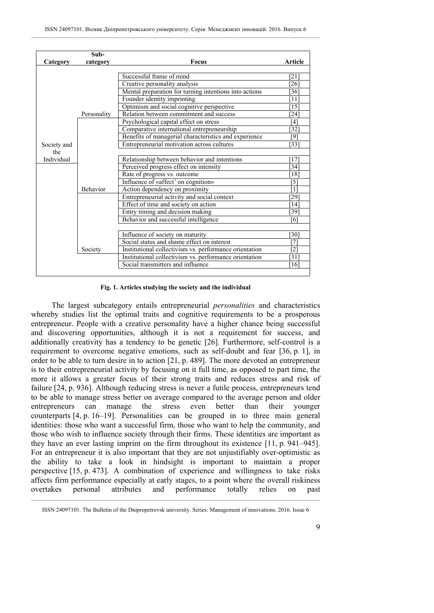|             | Sub-            |                                                        |                    |
|-------------|-----------------|--------------------------------------------------------|--------------------|
| Category    | category        | <b>Focus</b>                                           | <b>Article</b>     |
|             |                 |                                                        |                    |
|             |                 | Successful frame of mind                               | [21]               |
|             |                 | Creative personality analysis                          | 26]                |
|             |                 | Mental preparation for turning intentions into actions | 361                |
|             |                 | Founder identity imprinting                            | [11]               |
|             |                 | Optimism and social cognitive perspective              | [15]               |
|             | Personality     | Relation between commitment and success                | $\left[24\right]$  |
|             |                 | Psychological capital effect on stress                 | [4]                |
|             |                 | Comparative international entrepreneurship             | $32^{\circ}$       |
|             |                 | Benefits of managerial characteristics and experience  | [9]                |
| Society and |                 | Entrepreneurial motivation across cultures             | [33]               |
| the         |                 |                                                        |                    |
| Individual  |                 | Relationship between behavior and intentions           | [17]               |
|             |                 | Perceived progress effect on intensity                 | 34                 |
|             |                 | Rate of progress vs. outcome                           | $18$ ]             |
|             |                 | Influence of «affect' on cognition»                    | [5]                |
|             | <b>Behavior</b> | Action dependency on proximity                         | [1]                |
|             |                 | Entrepreneurial activity and social context            | $29$ ]             |
|             |                 | Effect of time and society on action                   | $\lceil 14 \rceil$ |
|             |                 | Entry timing and decision making                       | $\overline{39}$    |
|             |                 | Behavior and successful intelligence                   | [6]                |
|             |                 |                                                        |                    |
|             |                 | Influence of society on maturity                       | 30                 |
|             |                 | Social status and shame effect on interest             | [7]                |
|             | Society         | Institutional collectivism vs. performance orientation | $\overline{[2]}$   |
|             |                 | Institutional collectivism vs. performance orientation | 31                 |
|             |                 | Social transmitters and influence                      | [16]               |
|             |                 |                                                        |                    |

#### **Fig. 1. Articles studying the society and the individual**

The largest subcategory entails entrepreneurial *personalities* and characteristics whereby studies list the optimal traits and cognitive requirements to be a prosperous entrepreneur. People with a creative personality have a higher chance being successful and discovering opportunities, although it is not a requirement for success, and additionally creativity has a tendency to be genetic [26]. Furthermore, self-control is a requirement to overcome negative emotions, such as self-doubt and fear [36, р. 1], in order to be able to turn desire in to action [21, р. 489]. The more devoted an entrepreneur is to their entrepreneurial activity by focusing on it full time, as opposed to part time, the more it allows a greater focus of their strong traits and reduces stress and risk of failure [24, р. 936]. Although reducing stress is never a futile process, entrepreneurs tend to be able to manage stress better on average compared to the average person and older entrepreneurs can manage the stress even better than their younger counterparts [4, р. 16–19]. Personalities can be grouped in to three main general identities: those who want a successful firm, those who want to help the community, and those who wish to influence society through their firms. These identities are important as they have an ever lasting imprint on the firm throughout its existence [11, р. 941–945]. For an entrepreneur it is also important that they are not unjustifiably over-optimistic as the ability to take a look in hindsight is important to maintain a proper perspective [15, р. 473]. A combination of experience and willingness to take risks affects firm performance especially at early stages, to a point where the overall riskiness overtakes personal attributes and performance totally relies on past

 $\_$  , and the state of the state of the state of the state of the state of the state of the state of the state of the state of the state of the state of the state of the state of the state of the state of the state of the ISSN 24097101. The Bulletin of the Dnipropetrovsk university. Series: Management of innovations. 2016. Issue 6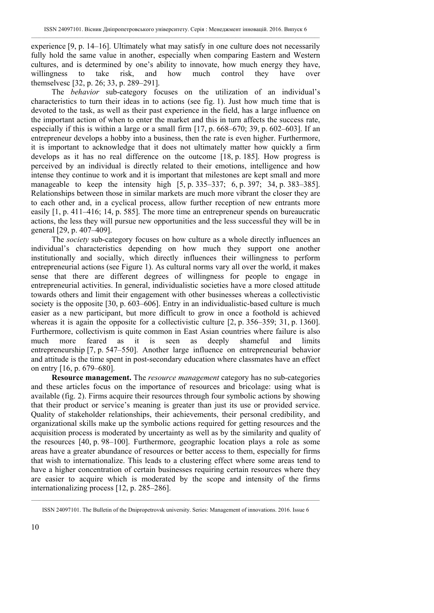experience [9, p. 14–16]. Ultimately what may satisfy in one culture does not necessarily fully hold the same value in another, especially when comparing Eastern and Western cultures, and is determined by one's ability to innovate, how much energy they have, willingness to take risk, and how much control they have over themselvesc [32, p. 26; 33, p. 289–291].

The *behavior* sub-category focuses on the utilization of an individual's characteristics to turn their ideas in to actions (see fig. 1). Just how much time that is devoted to the task, as well as their past experience in the field, has a large influence on the important action of when to enter the market and this in turn affects the success rate, especially if this is within a large or a small firm [17, р. 668–670; 39, р. 602–603]. If an entrepreneur develops a hobby into a business, then the rate is even higher. Furthermore, it is important to acknowledge that it does not ultimately matter how quickly a firm develops as it has no real difference on the outcome [18, р. 185]. How progress is perceived by an individual is directly related to their emotions, intelligence and how intense they continue to work and it is important that milestones are kept small and more manageable to keep the intensity high [5, p. 335–337; 6, p. 397; 34, p. 383–385]. Relationships between those in similar markets are much more vibrant the closer they are to each other and, in a cyclical process, allow further reception of new entrants more easily [1, р. 411–416; 14, р. 585]. The more time an entrepreneur spends on bureaucratic actions, the less they will pursue new opportunities and the less successful they will be in general [29, р. 407–409].

The *society* sub-category focuses on how culture as a whole directly influences an individual's characteristics depending on how much they support one another institutionally and socially, which directly influences their willingness to perform entrepreneurial actions (see Figure 1). As cultural norms vary all over the world, it makes sense that there are different degrees of willingness for people to engage in entrepreneurial activities. In general, individualistic societies have a more closed attitude towards others and limit their engagement with other businesses whereas a collectivistic society is the opposite [30, p. 603–606]. Entry in an individualistic-based culture is much easier as a new participant, but more difficult to grow in once a foothold is achieved whereas it is again the opposite for a collectivistic culture [2, p. 356–359; 31, p. 1360]. Furthermore, collectivism is quite common in East Asian countries where failure is also much more feared as it is seen as deeply shameful and limits entrepreneurship [7, р. 547–550]. Another large influence on entrepreneurial behavior and attitude is the time spent in post-secondary education where classmates have an effect on entry [16, p. 679–680].

**Resource management.** The *resource management* category has no sub-categories and these articles focus on the importance of resources and bricolage: using what is available (fig. 2). Firms acquire their resources through four symbolic actions by showing that their product or service's meaning is greater than just its use or provided service. Quality of stakeholder relationships, their achievements, their personal credibility, and organizational skills make up the symbolic actions required for getting resources and the acquisition process is moderated by uncertainty as well as by the similarity and quality of the resources [40, р. 98–100]. Furthermore, geographic location plays a role as some areas have a greater abundance of resources or better access to them, especially for firms that wish to internationalize. This leads to a clustering effect where some areas tend to have a higher concentration of certain businesses requiring certain resources where they are easier to acquire which is moderated by the scope and intensity of the firms internationalizing process [12, р. 285–286].

 $\_$  , and the state of the state of the state of the state of the state of the state of the state of the state of the state of the state of the state of the state of the state of the state of the state of the state of the ISSN 24097101. The Bulletin of the Dnipropetrovsk university. Series: Management of innovations. 2016. Issue 6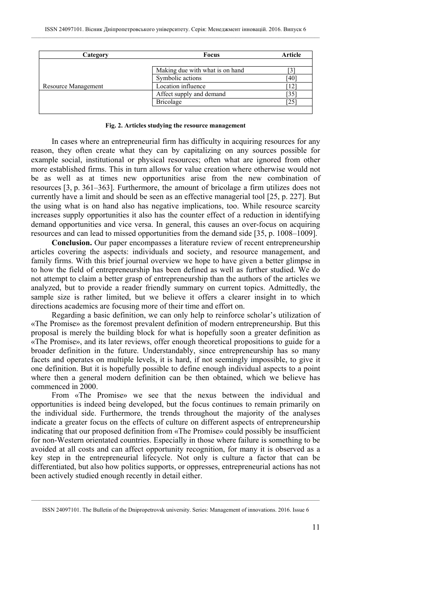| Category            | <b>Focus</b>                    | Article |
|---------------------|---------------------------------|---------|
|                     |                                 |         |
|                     | Making due with what is on hand |         |
|                     | Symbolic actions                | ī40     |
| Resource Management | Location influence              |         |
|                     | Affect supply and demand        | 35      |
|                     | Bricolage                       | 25'     |
|                     |                                 |         |

#### **Fig. 2. Articles studying the resource management**

In cases where an entrepreneurial firm has difficulty in acquiring resources for any reason, they often create what they can by capitalizing on any sources possible for example social, institutional or physical resources; often what are ignored from other more established firms. This in turn allows for value creation where otherwise would not be as well as at times new opportunities arise from the new combination of resources [3, р. 361–363]. Furthermore, the amount of bricolage a firm utilizes does not currently have a limit and should be seen as an effective managerial tool [25, р. 227]. But the using what is on hand also has negative implications, too. While resource scarcity increases supply opportunities it also has the counter effect of a reduction in identifying demand opportunities and vice versa. In general, this causes an over-focus on acquiring resources and can lead to missed opportunities from the demand side [35, р. 1008–1009].

**Conclusion.** Our paper encompasses a literature review of recent entrepreneurship articles covering the aspects: individuals and society, and resource management, and family firms. With this brief journal overview we hope to have given a better glimpse in to how the field of entrepreneurship has been defined as well as further studied. We do not attempt to claim a better grasp of entrepreneurship than the authors of the articles we analyzed, but to provide a reader friendly summary on current topics. Admittedly, the sample size is rather limited, but we believe it offers a clearer insight in to which directions academics are focusing more of their time and effort on.

Regarding a basic definition, we can only help to reinforce scholar's utilization of «The Promise» as the foremost prevalent definition of modern entrepreneurship. But this proposal is merely the building block for what is hopefully soon a greater definition as «The Promise», and its later reviews, offer enough theoretical propositions to guide for a broader definition in the future. Understandably, since entrepreneurship has so many facets and operates on multiple levels, it is hard, if not seemingly impossible, to give it one definition. But it is hopefully possible to define enough individual aspects to a point where then a general modern definition can be then obtained, which we believe has commenced in 2000.

From «The Promise» we see that the nexus between the individual and opportunities is indeed being developed, but the focus continues to remain primarily on the individual side. Furthermore, the trends throughout the majority of the analyses indicate a greater focus on the effects of culture on different aspects of entrepreneurship indicating that our proposed definition from «The Promise» could possibly be insufficient for non-Western orientated countries. Especially in those where failure is something to be avoided at all costs and can affect opportunity recognition, for many it is observed as a key step in the entrepreneurial lifecycle. Not only is culture a factor that can be differentiated, but also how politics supports, or oppresses, entrepreneurial actions has not been actively studied enough recently in detail either.

 $\_$  , and the state of the state of the state of the state of the state of the state of the state of the state of the state of the state of the state of the state of the state of the state of the state of the state of the ISSN 24097101. The Bulletin of the Dnipropetrovsk university. Series: Management of innovations. 2016. Issue 6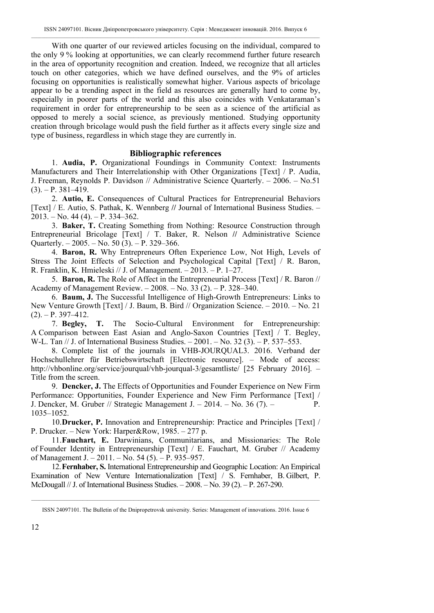With one quarter of our reviewed articles focusing on the individual, compared to the only 9 % looking at opportunities, we can clearly recommend further future research in the area of opportunity recognition and creation. Indeed, we recognize that all articles touch on other categories, which we have defined ourselves, and the 9% of articles focusing on opportunities is realistically somewhat higher. Various aspects of bricolage appear to be a trending aspect in the field as resources are generally hard to come by, especially in poorer parts of the world and this also coincides with Venkataraman's requirement in order for entrepreneurship to be seen as a science of the artificial as opposed to merely a social science, as previously mentioned. Studying opportunity creation through bricolage would push the field further as it affects every single size and type of business, regardless in which stage they are currently in.

# **Bibliographic references**

1. **Audia, P.** Organizational Foundings in Community Context: Instruments Manufacturers and Their Interrelationship with Other Organizations [Text] / P. Audia, J. Freeman, Reynolds P. Davidson // Administrative Science Quarterly. – 2006. – No.51  $(3)$ . – P. 381–419.

2. **Autio, E.** Consequences of Cultural Practices for Entrepreneurial Behaviors [Text] / E. Autio, S. Pathak, K. Wennberg **//** Journal of International Business Studies. –  $2013. - No. 44 (4) - P. 334-362.$ 

3. **Baker, T.** Creating Something from Nothing: Resource Construction through Entrepreneurial Bricolage [Text] / T. Baker, R. Nelson **//** Administrative Science Quarterly.  $-2005. -$  No. 50 (3).  $-$  P. 329–366.

4. **Baron, R.** Why Entrepreneurs Often Experience Low, Not High, Levels of Stress The Joint Effects of Selection and Psychological Capital [Text] / R. Baron, R. Franklin, K. Hmieleski // J. of Management. – 2013. – P. 1–27.

5. **Baron, R.** The Role of Affect in the Entrepreneurial Process [Text] / R. Baron // Academy of Management Review. – 2008. – No. 33 (2). – P. 328–340.

6. **Baum, J.** The Successful Intelligence of High-Growth Entrepreneurs: Links to New Venture Growth [Text] / J. Baum, B. Bird // Organization Science. – 2010. – No. 21

 $(2)$ . – P. 397–412.<br>7. **Begley**, **T.** The Socio-Cultural Environment for Entrepreneurship: A Comparison between East Asian and Anglo-Saxon Countries [Text] / T. Begley, W-L. Tan // J. of International Business Studies. – 2001. – No. 32 (3). – P. 537–553.

8. Complete list of the journals in VHB-JOURQUAL3. 2016. Verband der Hochschullehrer für Betriebswirtschaft [Electronic resource]. – Mode of access: http://vhbonline.org/service/jourqual/vhb-jourqual-3/gesamtliste/ [25 February 2016]. – Title from the screen.

9. **Dencker, J.** The Effects of Opportunities and Founder Experience on New Firm Performance: Opportunities, Founder Experience and New Firm Performance [Text] / J. Dencker, M. Gruber // Strategic Management J. – 2014. – No. 36 (7). – P. 1035–1052.

10.**Drucker, P.** Innovation and Entrepreneurship: Practice and Principles [Text] / P. Drucker. – New York: Harper&Row, 1985. – 277 р.

11.**Fauchart, E.** Darwinians, Communitarians, and Missionaries: The Role of Founder Identity in Entrepreneurship [Text] / E. Fauchart, M. Gruber // Academy of Management J. – 2011. – No. 54 (5). – P. 935–957.

12.**Fernhaber, S.** International Entrepreneurship and Geographic Location: An Empirical Examination of New Venture Internationalization [Text] / S. Fernhaber, B. Gilbert, P. McDougall // J. of International Business Studies. – 2008. – No. 39 (2). – P. 267-290.

 $\_$  , and the state of the state of the state of the state of the state of the state of the state of the state of the state of the state of the state of the state of the state of the state of the state of the state of the ISSN 24097101. The Bulletin of the Dnipropetrovsk university. Series: Management of innovations. 2016. Issue 6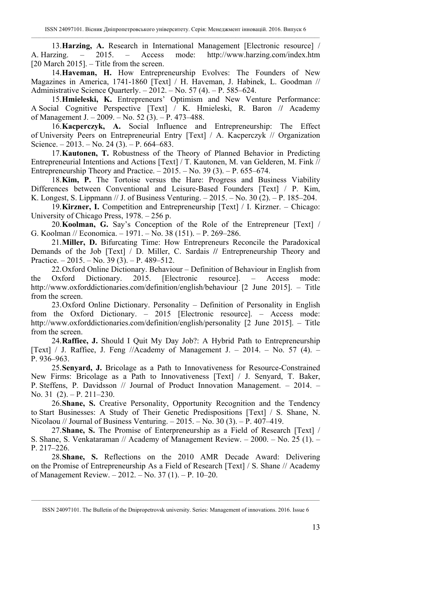13. **Harzing, A.** Research in International Management [Electronic resource] / A. Harzing.  $-$  2015. – Access mode: http://www.harzing.com/index.htm - 2015. – Access mode: http://www.harzing.com/index.htm  $[20$  March 2015]. – Title from the screen.

14.**Haveman, H.** How Entrepreneurship Evolves: The Founders of New Magazines in America, 1741-1860 [Text] / H. Haveman, J. Habinek, L. Goodman // Administrative Science Quarterly. – 2012. – No. 57 (4). – P. 585–624.

15.**Hmieleski, K.** Entrepreneurs' Optimism and New Venture Performance: A Social Cognitive Perspective [Text] / K. Hmieleski, R. Baron /**/** Academy of Management J. – 2009. – No. 52 (3). – P. 473–488.

16.**Kacperczyk, A.** Social Influence and Entrepreneurship: The Effect of University Peers on Entrepreneurial Entry [Text] / A. Kacperczyk // Organization Science. – 2013. – No. 24 (3). – P. 664–683.

17.**Kautonen, T.** Robustness of the Theory of Planned Behavior in Predicting Entrepreneurial Intentions and Actions [Text] / T. Kautonen, M. van Gelderen, M. Fink // Entrepreneurship Theory and Practice.  $-2015. -$  No. 39 (3).  $-$  P. 655–674.

18.**Kim, P.** The Tortoise versus the Hare: Progress and Business Viability Differences between Conventional and Leisure-Based Founders [Text] / P. Kim, K. Longest, S. Lippmann // J. of Business Venturing. – 2015. – No. 30 (2). – P. 185–204.

19.**Kirzner, I.** Competition and Entrepreneurship [Text] / I. Kirzner. – Chicago: University of Chicago Press, 1978. – 256 p.

20.**Koolman, G.** Say's Conception of the Role of the Entrepreneur [Text] / G. Koolman // Economica. – 1971. – No. 38 (151). – P. 269–286.

21.**Miller, D.** Bifurcating Time: How Entrepreneurs Reconcile the Paradoxical Demands of the Job [Text] / D. Miller, C. Sardais **//** Entrepreneurship Theory and Practice. – 2015. – No. 39 (3). – P. 489–512.

22.Oxford Online Dictionary. Behaviour – Definition of Behaviour in English from Oxford Dictionary. 2015. [Electronic resource]. – Access mode: the Oxford Dictionary. 2015. [Electronic resource]. – Access mode: http://www.oxforddictionaries.com/definition/english/behaviour [2 June 2015]. – Title from the screen.

23.Oxford Online Dictionary. Personality – Definition of Personality in English from the Oxford Dictionary. – 2015 [Electronic resource]. – Access mode: http://www.oxforddictionaries.com/definition/english/personality [2 June 2015]. – Title from the screen.

24.**Raffiee, J.** Should I Quit My Day Job?: A Hybrid Path to Entrepreneurship [Text] / J. Raffiee, J. Feng //Academy of Management J. – 2014. – No. 57 (4). – P. 936–963.

25.**Senyard, J.** Bricolage as a Path to Innovativeness for Resource-Constrained New Firms: Bricolage as a Path to Innovativeness [Text] / J. Senyard, T. Baker, P. Steffens, P. Davidsson // Journal of Product Innovation Management. – 2014. – No. 31 (2). – P. 211–230.

26.**Shane, S.** Creative Personality, Opportunity Recognition and the Tendency to Start Businesses: A Study of Their Genetic Predispositions [Text] / S. Shane, N. Nicolaou // Journal of Business Venturing. – 2015. – No. 30 (3). – P. 407–419.

27.**Shane, S.** The Promise of Enterpreneurship as a Field of Research [Text] / S. Shane, S. Venkataraman // Academy of Management Review. – 2000. – No. 25 (1). – P. 217–226.

28.**Shane, S.** Reflections on the 2010 AMR Decade Award: Delivering on the Promise of Entrepreneurship As a Field of Research [Text] / S. Shane // Academy of Management Review. – 2012. – No. 37 (1). – P. 10–20.

 $\_$  , and the state of the state of the state of the state of the state of the state of the state of the state of the state of the state of the state of the state of the state of the state of the state of the state of the ISSN 24097101. The Bulletin of the Dnipropetrovsk university. Series: Management of innovations. 2016. Issue 6